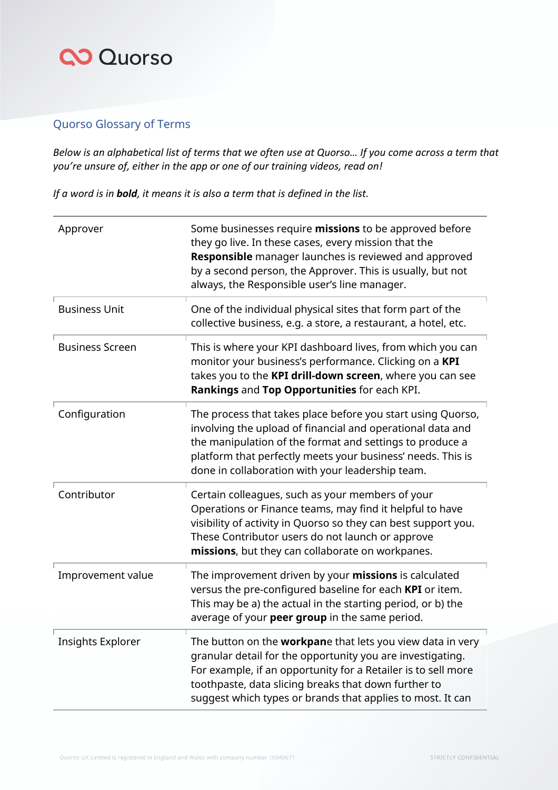#### Quorso Glossary of Terms

*Below is an alphabetical list of terms that we often use at Quorso… If you come across a term that you're unsure of, either in the app or one of our training videos, read on!* 

*If a word is in bold, it means it is also a term that is defined in the list.* 

| Approver                 | Some businesses require missions to be approved before<br>they go live. In these cases, every mission that the<br>Responsible manager launches is reviewed and approved<br>by a second person, the Approver. This is usually, but not<br>always, the Responsible user's line manager.                           |
|--------------------------|-----------------------------------------------------------------------------------------------------------------------------------------------------------------------------------------------------------------------------------------------------------------------------------------------------------------|
| <b>Business Unit</b>     | One of the individual physical sites that form part of the<br>collective business, e.g. a store, a restaurant, a hotel, etc.                                                                                                                                                                                    |
| <b>Business Screen</b>   | This is where your KPI dashboard lives, from which you can<br>monitor your business's performance. Clicking on a KPI<br>takes you to the KPI drill-down screen, where you can see<br>Rankings and Top Opportunities for each KPI.                                                                               |
| Configuration            | The process that takes place before you start using Quorso,<br>involving the upload of financial and operational data and<br>the manipulation of the format and settings to produce a<br>platform that perfectly meets your business' needs. This is<br>done in collaboration with your leadership team.        |
| Contributor              | Certain colleagues, such as your members of your<br>Operations or Finance teams, may find it helpful to have<br>visibility of activity in Quorso so they can best support you.<br>These Contributor users do not launch or approve<br>missions, but they can collaborate on workpanes.                          |
| Improvement value        | The improvement driven by your missions is calculated<br>versus the pre-configured baseline for each KPI or item.<br>This may be a) the actual in the starting period, or b) the<br>average of your peer group in the same period.                                                                              |
| <b>Insights Explorer</b> | The button on the workpane that lets you view data in very<br>granular detail for the opportunity you are investigating.<br>For example, if an opportunity for a Retailer is to sell more<br>toothpaste, data slicing breaks that down further to<br>suggest which types or brands that applies to most. It can |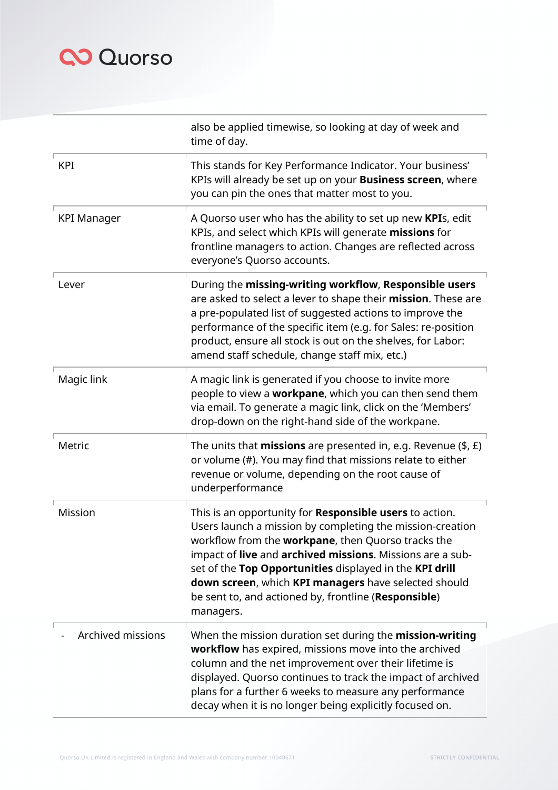|                          | also be applied timewise, so looking at day of week and<br>time of day.                                                                                                                                                                                                                                                                                                                                                         |
|--------------------------|---------------------------------------------------------------------------------------------------------------------------------------------------------------------------------------------------------------------------------------------------------------------------------------------------------------------------------------------------------------------------------------------------------------------------------|
| <b>KPI</b>               | This stands for Key Performance Indicator. Your business'<br>KPIs will already be set up on your <b>Business screen</b> , where<br>you can pin the ones that matter most to you.                                                                                                                                                                                                                                                |
| <b>KPI Manager</b>       | A Quorso user who has the ability to set up new KPIs, edit<br>KPIs, and select which KPIs will generate missions for<br>frontline managers to action. Changes are reflected across<br>everyone's Quorso accounts.                                                                                                                                                                                                               |
| Lever                    | During the missing-writing workflow, Responsible users<br>are asked to select a lever to shape their mission. These are<br>a pre-populated list of suggested actions to improve the<br>performance of the specific item (e.g. for Sales: re-position<br>product, ensure all stock is out on the shelves, for Labor:<br>amend staff schedule, change staff mix, etc.)                                                            |
| Magic link               | A magic link is generated if you choose to invite more<br>people to view a workpane, which you can then send them<br>via email. To generate a magic link, click on the 'Members'<br>drop-down on the right-hand side of the workpane.                                                                                                                                                                                           |
| Metric                   | The units that <b>missions</b> are presented in, e.g. Revenue $(\$, \&)$<br>or volume (#). You may find that missions relate to either<br>revenue or volume, depending on the root cause of<br>underperformance                                                                                                                                                                                                                 |
| Mission                  | This is an opportunity for Responsible users to action.<br>Users launch a mission by completing the mission-creation<br>workflow from the workpane, then Quorso tracks the<br>impact of live and archived missions. Missions are a sub-<br>set of the Top Opportunities displayed in the KPI drill<br>down screen, which KPI managers have selected should<br>be sent to, and actioned by, frontline (Responsible)<br>managers. |
| <b>Archived missions</b> | When the mission duration set during the mission-writing<br>workflow has expired, missions move into the archived<br>column and the net improvement over their lifetime is<br>displayed. Quorso continues to track the impact of archived<br>plans for a further 6 weeks to measure any performance<br>decay when it is no longer being explicitly focused on.                                                                  |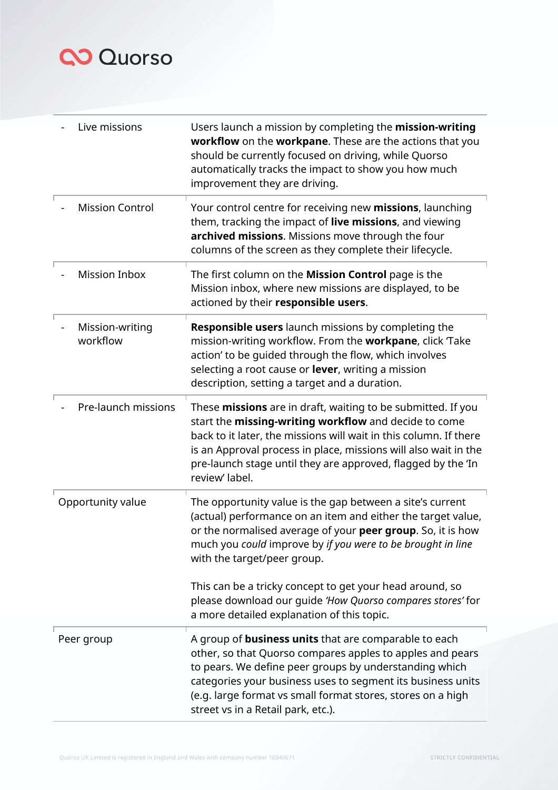| Live missions               | Users launch a mission by completing the mission-writing<br>workflow on the workpane. These are the actions that you<br>should be currently focused on driving, while Quorso<br>automatically tracks the impact to show you how much<br>improvement they are driving.                                                                                   |
|-----------------------------|---------------------------------------------------------------------------------------------------------------------------------------------------------------------------------------------------------------------------------------------------------------------------------------------------------------------------------------------------------|
| <b>Mission Control</b>      | Your control centre for receiving new missions, launching<br>them, tracking the impact of live missions, and viewing<br>archived missions. Missions move through the four<br>columns of the screen as they complete their lifecycle.                                                                                                                    |
| <b>Mission Inbox</b>        | The first column on the <b>Mission Control</b> page is the<br>Mission inbox, where new missions are displayed, to be<br>actioned by their responsible users.                                                                                                                                                                                            |
| Mission-writing<br>workflow | <b>Responsible users</b> launch missions by completing the<br>mission-writing workflow. From the workpane, click 'Take<br>action' to be quided through the flow, which involves<br>selecting a root cause or <b>lever</b> , writing a mission<br>description, setting a target and a duration.                                                          |
| Pre-launch missions         | These missions are in draft, waiting to be submitted. If you<br>start the missing-writing workflow and decide to come<br>back to it later, the missions will wait in this column. If there<br>is an Approval process in place, missions will also wait in the<br>pre-launch stage until they are approved, flagged by the 'In<br>review' label.         |
| Opportunity value           | The opportunity value is the gap between a site's current<br>(actual) performance on an item and either the target value,<br>or the normalised average of your peer group. So, it is how<br>much you could improve by if you were to be brought in line<br>with the target/peer group.                                                                  |
|                             | This can be a tricky concept to get your head around, so<br>please download our guide 'How Quorso compares stores' for<br>a more detailed explanation of this topic.                                                                                                                                                                                    |
| Peer group                  | A group of <b>business units</b> that are comparable to each<br>other, so that Quorso compares apples to apples and pears<br>to pears. We define peer groups by understanding which<br>categories your business uses to segment its business units<br>(e.g. large format vs small format stores, stores on a high<br>street vs in a Retail park, etc.). |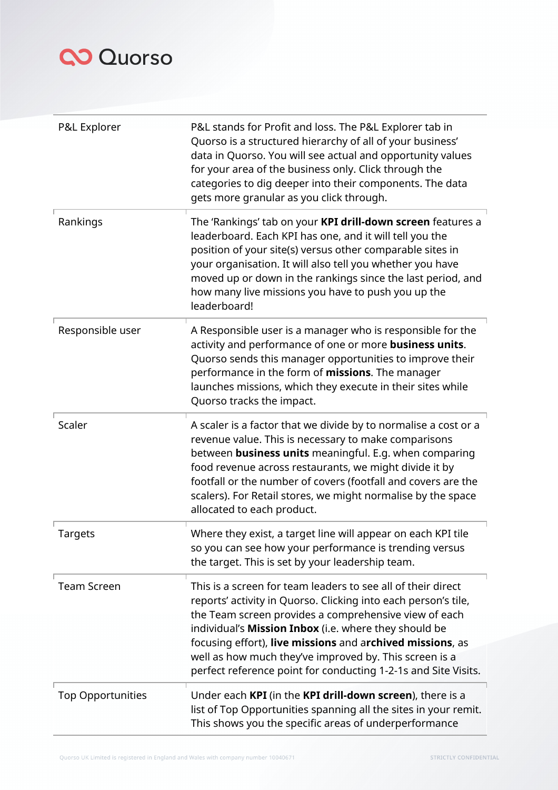| P&L Explorer             | P&L stands for Profit and loss. The P&L Explorer tab in<br>Quorso is a structured hierarchy of all of your business'<br>data in Quorso. You will see actual and opportunity values<br>for your area of the business only. Click through the<br>categories to dig deeper into their components. The data<br>gets more granular as you click through.                                                                                       |
|--------------------------|-------------------------------------------------------------------------------------------------------------------------------------------------------------------------------------------------------------------------------------------------------------------------------------------------------------------------------------------------------------------------------------------------------------------------------------------|
| Rankings                 | The 'Rankings' tab on your KPI drill-down screen features a<br>leaderboard. Each KPI has one, and it will tell you the<br>position of your site(s) versus other comparable sites in<br>your organisation. It will also tell you whether you have<br>moved up or down in the rankings since the last period, and<br>how many live missions you have to push you up the<br>leaderboard!                                                     |
| Responsible user         | A Responsible user is a manager who is responsible for the<br>activity and performance of one or more business units.<br>Quorso sends this manager opportunities to improve their<br>performance in the form of missions. The manager<br>launches missions, which they execute in their sites while<br>Quorso tracks the impact.                                                                                                          |
| Scaler                   | A scaler is a factor that we divide by to normalise a cost or a<br>revenue value. This is necessary to make comparisons<br>between <b>business units</b> meaningful. E.g. when comparing<br>food revenue across restaurants, we might divide it by<br>footfall or the number of covers (footfall and covers are the<br>scalers). For Retail stores, we might normalise by the space<br>allocated to each product.                         |
| <b>Targets</b>           | Where they exist, a target line will appear on each KPI tile<br>so you can see how your performance is trending versus<br>the target. This is set by your leadership team.                                                                                                                                                                                                                                                                |
| <b>Team Screen</b>       | This is a screen for team leaders to see all of their direct<br>reports' activity in Quorso. Clicking into each person's tile,<br>the Team screen provides a comprehensive view of each<br>individual's Mission Inbox (i.e. where they should be<br>focusing effort), live missions and archived missions, as<br>well as how much they've improved by. This screen is a<br>perfect reference point for conducting 1-2-1s and Site Visits. |
| <b>Top Opportunities</b> | Under each KPI (in the KPI drill-down screen), there is a<br>list of Top Opportunities spanning all the sites in your remit.<br>This shows you the specific areas of underperformance                                                                                                                                                                                                                                                     |